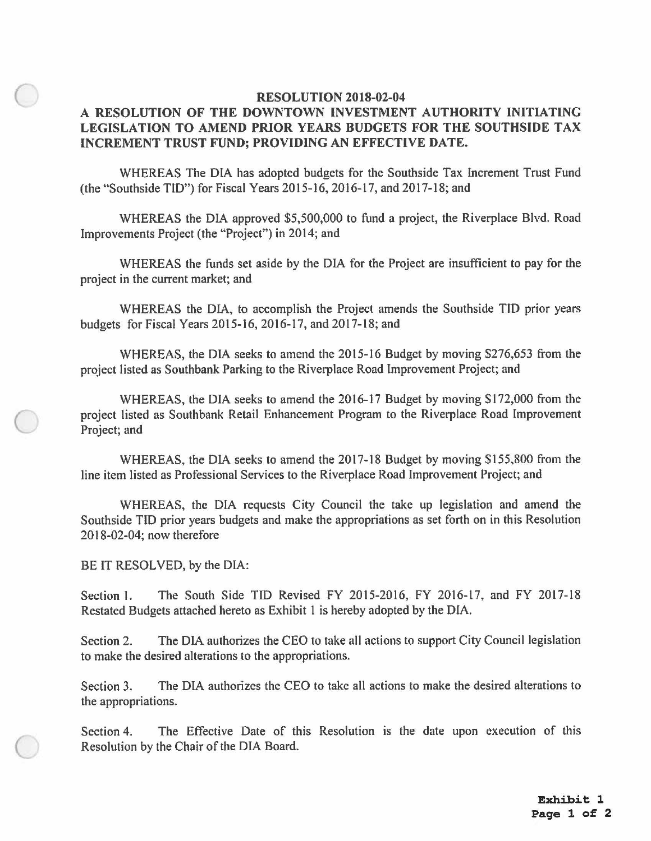## **RESOLUTION 2018-02-04 A RESOLUTION OF THE DOWNTOWN INVESTMENT AUTHORITY INITIATING LEGISLATION TO AMEND PRIOR YEARS BUDGETS FOR THE SOUTHSIDE TAX INCREMENT TRUST FUND; PROVIDING AN EFFECTIVE DATE.**

WHEREAS The DIA has adopted budgets for the Southside Tax Increment Trust Fund (the "Southside TID") for Fiscal Years 20 I 5-16, 2016-17, and 2017-18; and

WHEREAS the DIA approved \$5,500,000 to fund a project, the Riverplace Blvd. Road Improvements Project ( the "Project") in 2014; and

WHEREAS the funds set aside by the DIA for the Project are insufficient to pay for the project in the current market; and

WHEREAS the DIA, to accomplish the Project amends the Southside TID prior years budgets for Fiscal Years 2015-16, 2016-17, and 2017-18; and

WHEREAS, the DIA seeks to amend the 2015-16 Budget by moving \$276,653 from the project listed as Southbank Parking to the Riverplace Road Improvement Project; and

WHEREAS, the DIA seeks to amend the 2016-17 Budget by moving \$172,000 from the project listed as Southbank Retail Enhancement Program to the Riverplace Road lmprovement Project; and

WHEREAS, the DIA seeks to amend the 2017-18 Budget by moving \$155,800 from the line item listed as Professional Services to the Riverplace Road Improvement Project; and

WHEREAS, the DIA requests City Council the take up legislation and amend the Southside TID prior years budgets and make the appropriations as set forth on in this Resolution 2018-02-04; now therefore

BE lT RESOLVED, by the DIA:

**C** 

 $\bigcirc$ 

 $\bigcirc$ 

Section 1. The South Side TID Revised FY 2015-2016, FY 2016-17, and FY 2017-18 Restated Budgets attached hereto as Exhibit 1 is hereby adopted by the DIA.

Section 2. The DIA authorizes the CEO to take all actions to support City Council legislation to make the desired alterations to the appropriations.

Section 3. The DIA authorizes the CEO to take all actions to make the desired alterations to the appropriations.

Section 4. The Effective Date of this Resolution is the date upon execution of this Resolution by the Chair of the DIA Board.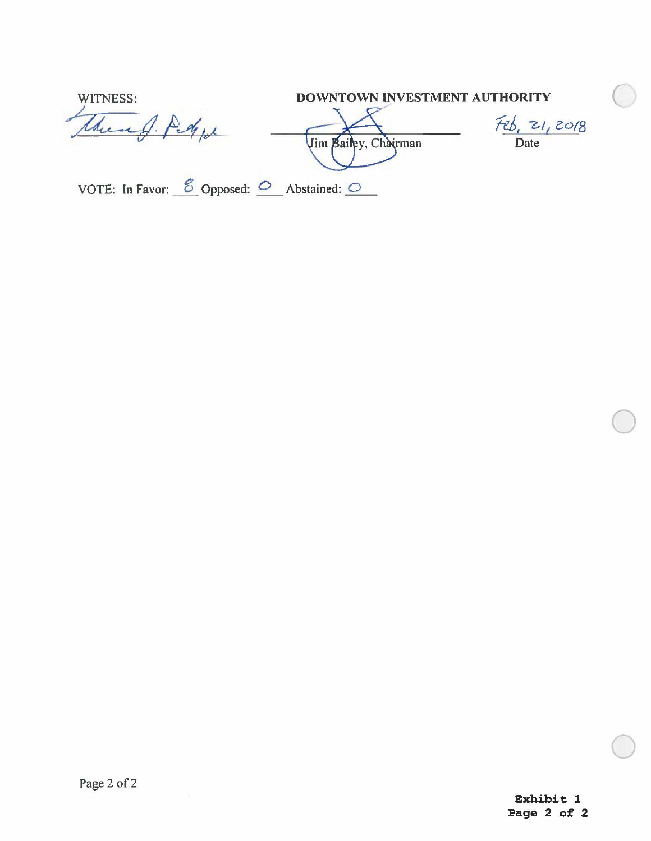| WITNESS:                                                                      | DOWNTOWN INVESTMENT AUTHORITY |              |  |
|-------------------------------------------------------------------------------|-------------------------------|--------------|--|
|                                                                               | Jim Bailey, Chairman          | 20/8<br>Date |  |
| VOTE: In Favor: $\frac{8}{2}$ Opposed: $\frac{6}{2}$ Abstained: $\frac{6}{2}$ |                               |              |  |

 $\bigcirc$ 

 $\bigcirc$